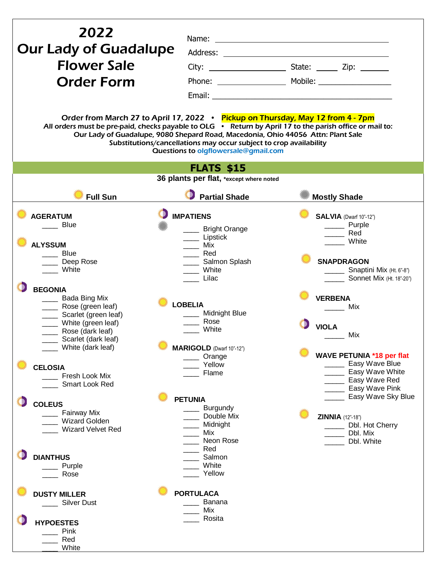